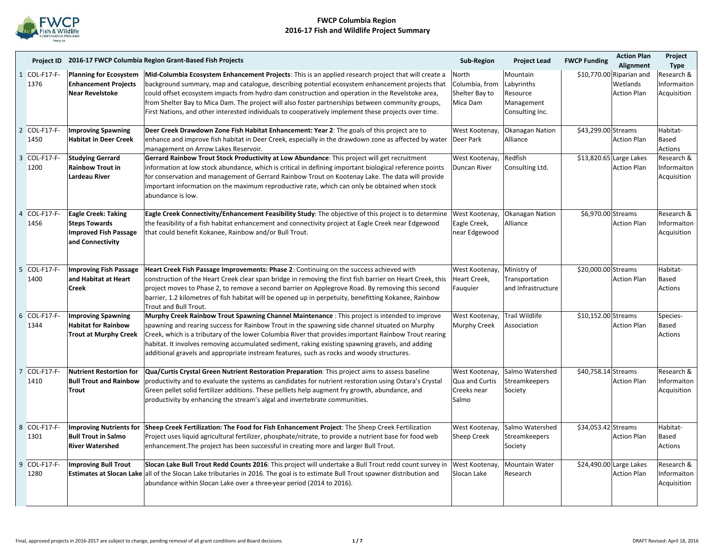

|                |                           |                                                                                                        | Project ID 2016-17 FWCP Columbia Region Grant-Based Fish Projects                                                                                                                                                                                                                                                                                                                                                                                                                                                                              | Sub-Region                                               | <b>Project Lead</b>                                                 | <b>FWCP Funding</b> | <b>Action Plan</b><br>Alignment                            | Project<br>Type                          |
|----------------|---------------------------|--------------------------------------------------------------------------------------------------------|------------------------------------------------------------------------------------------------------------------------------------------------------------------------------------------------------------------------------------------------------------------------------------------------------------------------------------------------------------------------------------------------------------------------------------------------------------------------------------------------------------------------------------------------|----------------------------------------------------------|---------------------------------------------------------------------|---------------------|------------------------------------------------------------|------------------------------------------|
|                | 1 COL-F17-F-<br>1376      | <b>Enhancement Projects</b><br>Near Revelstoke                                                         | Planning for Ecosystem Mid-Columbia Ecosystem Enhancement Projects: This is an applied research project that will create a<br>background summary, map and catalogue, describing potential ecosystem enhancement projects that<br>could offset ecosystem impacts from hydro dam construction and operation in the Revelstoke area,<br>from Shelter Bay to Mica Dam. The project will also foster partnerships between community groups,<br>First Nations, and other interested individuals to cooperatively implement these projects over time. | North<br>Columbia, from<br>Shelter Bay to<br>Mica Dam    | Mountain<br>Labyrinths<br>Resource<br>Management<br>Consulting Inc. |                     | \$10,770.00 Riparian and<br>Wetlands<br><b>Action Plan</b> | Research &<br>Informaiton<br>Acquisition |
|                | 2 COL-F17-F-<br>1450      | <b>Improving Spawning</b><br><b>Habitat in Deer Creek</b>                                              | Deer Creek Drawdown Zone Fish Habitat Enhancement: Year 2: The goals of this project are to<br>enhance and improve fish habitat in Deer Creek, especially in the drawdown zone as affected by water<br>management on Arrow Lakes Reservoir.                                                                                                                                                                                                                                                                                                    | West Kootenay,<br>Deer Park                              | <b>Okanagan Nation</b><br>Alliance                                  | \$43,299.00 Streams | <b>Action Plan</b>                                         | Habitat-<br>Based<br>Actions             |
|                | 3 COL-F17-F-<br>1200      | <b>Studying Gerrard</b><br><b>Rainbow Trout in</b><br>Lardeau River                                    | Gerrard Rainbow Trout Stock Productivity at Low Abundance: This project will get recruitment<br>information at low stock abundance, which is critical in defining important biological reference points<br>for conservation and management of Gerrard Rainbow Trout on Kootenay Lake. The data will provide<br>important information on the maximum reproductive rate, which can only be obtained when stock<br>abundance is low.                                                                                                              | West Kootenay,<br><b>Duncan River</b>                    | Redfish<br>Consulting Ltd.                                          |                     | \$13,820.65 Large Lakes<br><b>Action Plan</b>              | Research &<br>Informaiton<br>Acquisition |
| 4              | <b>COL-F17-F-</b><br>1456 | <b>Eagle Creek: Taking</b><br><b>Steps Towards</b><br><b>Improved Fish Passage</b><br>and Connectivity | Eagle Creek Connectivity/Enhancement Feasibility Study: The objective of this project is to determine<br>the feasibility of a fish habitat enhancement and connectivity project at Eagle Creek near Edgewood<br>that could benefit Kokanee, Rainbow and/or Bull Trout.                                                                                                                                                                                                                                                                         | West Kootenay,<br>Eagle Creek,<br>near Edgewood          | Okanagan Nation<br>Alliance                                         | \$6,970.00 Streams  | <b>Action Plan</b>                                         | Research &<br>Informaiton<br>Acquisition |
| 5              | <b>COL-F17-F-</b><br>1400 | <b>Improving Fish Passage</b><br>and Habitat at Heart<br>Creek                                         | Heart Creek Fish Passage Improvements: Phase 2: Continuing on the success achieved with<br>construction of the Heart Creek clear span bridge in removing the first fish barrier on Heart Creek, this<br>project moves to Phase 2, to remove a second barrier on Applegrove Road. By removing this second<br>barrier, 1.2 kilometres of fish habitat will be opened up in perpetuity, benefitting Kokanee, Rainbow<br>Trout and Bull Trout.                                                                                                     | West Kootenay,<br>Heart Creek.<br>Fauquier               | Ministry of<br>Transportation<br>and Infrastructure                 | \$20,000.00 Streams | <b>Action Plan</b>                                         | Habitat-<br>Based<br><b>Actions</b>      |
|                | 6 COL-F17-F-<br>1344      | <b>Improving Spawning</b><br><b>Habitat for Rainbow</b><br><b>Trout at Murphy Creek</b>                | Murphy Creek Rainbow Trout Spawning Channel Maintenance : This project is intended to improve<br>spawning and rearing success for Rainbow Trout in the spawning side channel situated on Murphy<br>Creek, which is a tributary of the lower Columbia River that provides important Rainbow Trout rearing<br>habitat. It involves removing accumulated sediment, raking existing spawning gravels, and adding<br>additional gravels and appropriate instream features, such as rocks and woody structures.                                      | West Kootenay,<br>Murphy Creek                           | <b>Trail Wildlife</b><br>Association                                | \$10,152.00 Streams | <b>Action Plan</b>                                         | Species-<br>Based<br>Actions             |
| $\overline{7}$ | <b>COL-F17-F-</b><br>1410 | <b>Nutrient Restortion for</b><br><b>Bull Trout and Rainbow</b><br><b>Trout</b>                        | Qua/Curtis Crystal Green Nutrient Restoration Preparation: This project aims to assess baseline<br>productivity and to evaluate the systems as candidates for nutrient restoration using Ostara's Crystal<br>Green pellet solid fertilizer additions. These pelllets help augment fry growth, abundance, and<br>productivity by enhancing the stream's algal and invertebrate communities.                                                                                                                                                     | West Kootenay,<br>Qua and Curtis<br>Creeks near<br>Salmo | Salmo Watershed<br><b>Streamkeepers</b><br>Society                  | \$40,758.14 Streams | <b>Action Plan</b>                                         | Research &<br>Informaiton<br>Acquisition |
|                | 8 COL-F17-F-<br>1301      | <b>Bull Trout in Salmo</b><br><b>River Watershed</b>                                                   | Improving Nutrients for Sheep Creek Fertilization: The Food for Fish Enhancement Project: The Sheep Creek Fertilization<br>Project uses liquid agricultural fertilizer, phosphate/nitrate, to provide a nutrient base for food web<br>enhancement. The project has been successful in creating more and larger Bull Trout.                                                                                                                                                                                                                     | West Kootenay,<br><b>Sheep Creek</b>                     | Salmo Watershed<br><b>Streamkeepers</b><br>Society                  | \$34,053.42 Streams | <b>Action Plan</b>                                         | Habitat-<br>Based<br><b>Actions</b>      |
|                | 9 COL-F17-F-<br>1280      | <b>Improving Bull Trout</b>                                                                            | Slocan Lake Bull Trout Redd Counts 2016: This project will undertake a Bull Trout redd count survey in<br>Estimates at Slocan Lake all of the Slocan Lake tributaries in 2016. The goal is to estimate Bull Trout spawner distribution and<br>abundance within Slocan Lake over a three-year period (2014 to 2016).                                                                                                                                                                                                                            | West Kootenay,<br>Slocan Lake                            | Mountain Water<br>Research                                          |                     | \$24,490.00 Large Lakes<br><b>Action Plan</b>              | Research &<br>Informaiton<br>Acquisition |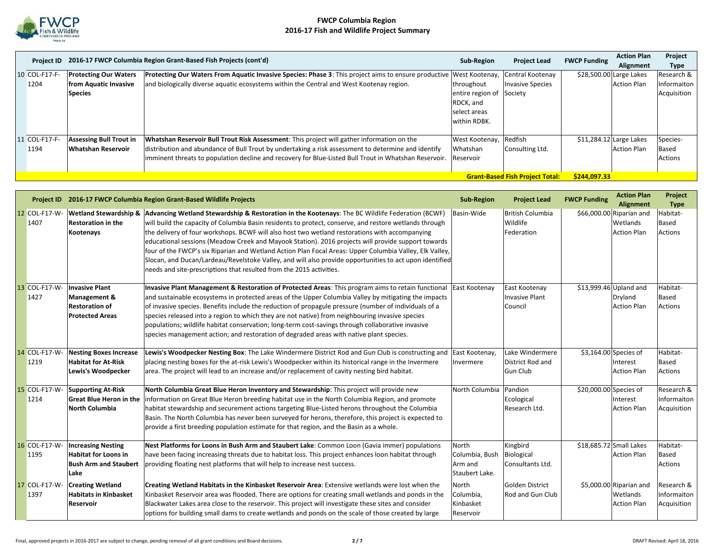

|               |                                                        | Project ID 2016-17 FWCP Columbia Region Grant-Based Fish Projects (cont'd)                                          | <b>Sub-Region</b> | <b>Project Lead</b>     | <b>FWCP Funding</b>      | <b>Action Plan</b>      | Project     |  |
|---------------|--------------------------------------------------------|---------------------------------------------------------------------------------------------------------------------|-------------------|-------------------------|--------------------------|-------------------------|-------------|--|
|               |                                                        |                                                                                                                     |                   |                         |                          | Alignment               | Type        |  |
| 10 COL-F17-F- | <b>Protecting Our Waters</b>                           | Protecting Our Waters From Aquatic Invasive Species: Phase 3: This project aims to ensure productive West Kootenay, |                   | Central Kootenay        |                          | \$28,500.00 Large Lakes | Research &  |  |
| 1204          | from Aquatic Invasive                                  | and biologically diverse aquatic ecosystems within the Central and West Kootenay region.                            | throughout        | <b>Invasive Species</b> |                          | <b>Action Plan</b>      | Informaiton |  |
|               | <b>Species</b>                                         |                                                                                                                     | entire region of  | Society                 |                          |                         | Acquisition |  |
|               |                                                        |                                                                                                                     | RDCK, and         |                         |                          |                         |             |  |
|               |                                                        |                                                                                                                     | select areas      |                         |                          |                         |             |  |
|               |                                                        |                                                                                                                     | within RDBK.      |                         |                          |                         |             |  |
|               |                                                        |                                                                                                                     |                   |                         |                          |                         |             |  |
| 11 COL-F17-F- | <b>Assessing Bull Trout in</b>                         | Whatshan Reservoir Bull Trout Risk Assessment: This project will gather information on the                          | West Kootenay,    | Redfish                 | $$11,284.12$ Large Lakes |                         | Species-    |  |
| 1194          | Whatshan Reservoir                                     | distribution and abundance of Bull Trout by undertaking a risk assessment to determine and identify                 | Whatshan          | Consulting Ltd.         |                          | <b>Action Plan</b>      | Based       |  |
|               |                                                        | limminent threats to population decline and recovery for Blue-Listed Bull Trout in Whatshan Reservoir.              | Reservoir         |                         |                          |                         | Actions     |  |
|               |                                                        |                                                                                                                     |                   |                         |                          |                         |             |  |
|               | <b>Grant-Based Fish Project Total:</b><br>\$244,097.33 |                                                                                                                     |                   |                         |                          |                         |             |  |

|                       |                                                                                                     | Project ID 2016-17 FWCP Columbia Region Grant-Based Wildlife Projects                                                                                                                                                                                                                                                                                                                                                                                                                                                                                                                                                                                                                                           | <b>Sub-Region</b>                                    | <b>Project Lead</b>                                    | <b>FWCP Funding</b>    | <b>Action Plan</b><br>Alignment                            | Project<br><b>Type</b>                   |
|-----------------------|-----------------------------------------------------------------------------------------------------|-----------------------------------------------------------------------------------------------------------------------------------------------------------------------------------------------------------------------------------------------------------------------------------------------------------------------------------------------------------------------------------------------------------------------------------------------------------------------------------------------------------------------------------------------------------------------------------------------------------------------------------------------------------------------------------------------------------------|------------------------------------------------------|--------------------------------------------------------|------------------------|------------------------------------------------------------|------------------------------------------|
| 12 COL-F17-W-<br>1407 | <b>Wetland Stewardship &amp;</b><br><b>Restoration in the</b><br>Kootenays                          | Advancing Wetland Stewardship & Restoration in the Kootenays: The BC Wildlife Federation (BCWF)<br>will build the capacity of Columbia Basin residents to protect, conserve, and restore wetlands through<br>the delivery of four workshops. BCWF will also host two wetland restorations with accompanying<br>educational sessions (Meadow Creek and Mayook Station). 2016 projects will provide support towards<br>four of the FWCP's six Riparian and Wetland Action Plan Focal Areas: Upper Columbia Valley, Elk Valley,<br>Slocan, and Ducan/Lardeau/Revelstoke Valley, and will also provide opportunities to act upon identified<br>needs and site-prescriptions that resulted from the 2015 activities. | Basin-Wide                                           | <b>British Columbia</b><br>Wildlife<br>Federation      |                        | \$66,000.00 Riparian and<br>Wetlands<br><b>Action Plan</b> | Habitat-<br>Based<br>Actions             |
| 13 COL-F17-W-<br>1427 | <b>Invasive Plant</b><br><b>Management &amp;</b><br><b>Restoration of</b><br><b>Protected Areas</b> | Invasive Plant Management & Restoration of Protected Areas: This program aims to retain functional<br>and sustainable ecosystems in protected areas of the Upper Columbia Valley by mitigating the impacts<br>of invasive species. Benefits include the reduction of propagule pressure (number of individuals of a<br>species released into a region to which they are not native) from neighbouring invasive species<br>populations; wildlife habitat conservation; long-term cost-savings through collaborative invasive<br>species management action; and restoration of degraded areas with native plant species.                                                                                          | East Kootenav                                        | East Kootenay<br><b>Invasive Plant</b><br>Council      |                        | \$13,999.46 Upland and<br>Dryland<br><b>Action Plan</b>    | Habitat-<br>Based<br><b>Actions</b>      |
| 14 COL-F17-W-<br>1219 | <b>Nesting Boxes Increase</b><br><b>Habitat for At-Risk</b><br>Lewis's Woodpecker                   | Lewis's Woodpecker Nesting Box: The Lake Windermere District Rod and Gun Club is constructing and East Kootenay,<br>placing nesting boxes for the at-risk Lewis's Woodpecker within its historical range in the Invermere<br>area. The project will lead to an increase and/or replacement of cavity nesting bird habitat.                                                                                                                                                                                                                                                                                                                                                                                      | Invermere                                            | Lake Windermere<br>District Rod and<br><b>Gun Club</b> |                        | \$3,164.00 Species of<br>Interest<br><b>Action Plan</b>    | Habitat-<br>Based<br>Actions             |
| 15 COL-F17-W-<br>1214 | <b>Supporting At-Risk</b><br><b>Great Blue Heron in the</b><br><b>North Columbia</b>                | North Columbia Great Blue Heron Inventory and Stewardship: This project will provide new<br>information on Great Blue Heron breeding habitat use in the North Columbia Region, and promote<br>habitat stewardship and securement actions targeting Blue-Listed herons throughout the Columbia<br>Basin. The North Columbia has never been surveyed for herons, therefore, this project is expected to<br>provide a first breeding population estimate for that region, and the Basin as a whole.                                                                                                                                                                                                                | North Columbia                                       | Pandion<br>Ecological<br>Research Ltd.                 | \$20,000.00 Species of | Interest<br><b>Action Plan</b>                             | Research &<br>Informaiton<br>Acquisition |
| 16 COL-F17-W-<br>1195 | <b>Increasing Nesting</b><br><b>Habitat for Loons in</b><br><b>Bush Arm and Staubert</b><br>Lake    | Nest Platforms for Loons in Bush Arm and Staubert Lake: Common Loon (Gavia immer) populations<br>have been facing increasing threats due to habitat loss. This project enhances loon habitat through<br>providing floating nest platforms that will help to increase nest success.                                                                                                                                                                                                                                                                                                                                                                                                                              | North<br>Columbia, Bush<br>Arm and<br>Staubert Lake. | Kingbird<br>Biological<br>Consultants Ltd.             |                        | \$18,685.72 Small Lakes<br><b>Action Plan</b>              | Habitat-<br>Based<br>Actions             |
| 17 COL-F17-W-<br>1397 | <b>Creating Wetland</b><br><b>Habitats in Kinbasket</b><br>Reservoir                                | Creating Wetland Habitats in the Kinbasket Reservoir Area: Extensive wetlands were lost when the<br>Kinbasket Reservoir area was flooded. There are options for creating small wetlands and ponds in the<br>Blackwater Lakes area close to the reservoir. This project will investigate these sites and consider<br>options for building small dams to create wetlands and ponds on the scale of those created by large                                                                                                                                                                                                                                                                                         | North<br>Columbia,<br>Kinbasket<br>Reservoir         | Golden District<br><b>Rod and Gun Club</b>             |                        | \$5,000.00 Riparian and<br>Wetlands<br><b>Action Plan</b>  | Research &<br>Informaiton<br>Acquisition |

lar<br>D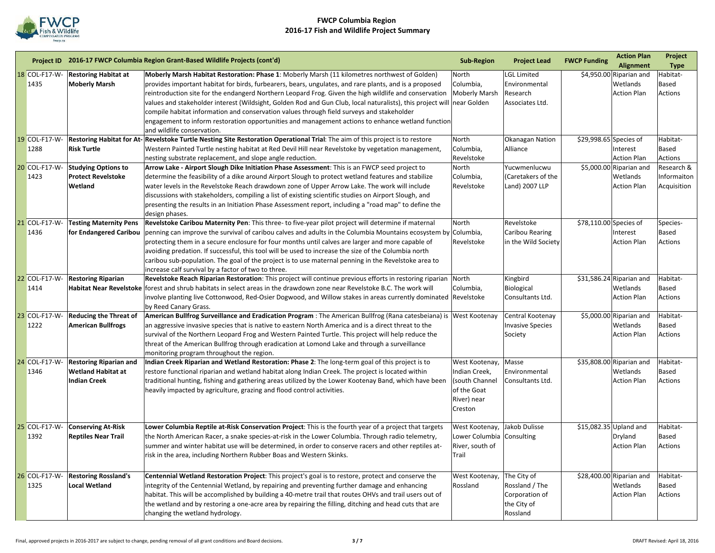

|                       |                                                     | Project ID 2016-17 FWCP Columbia Region Grant-Based Wildlife Projects (cont'd)                                                                                                                                                  | <b>Sub-Region</b>         | <b>Project Lead</b>                 | <b>FWCP Funding</b>    | <b>Action Plan</b><br><b>Alignment</b> | Project<br><b>Type</b>         |
|-----------------------|-----------------------------------------------------|---------------------------------------------------------------------------------------------------------------------------------------------------------------------------------------------------------------------------------|---------------------------|-------------------------------------|------------------------|----------------------------------------|--------------------------------|
| 18 COL-F17-W-<br>1435 | <b>Restoring Habitat at</b><br><b>Moberly Marsh</b> | Moberly Marsh Habitat Restoration: Phase 1: Moberly Marsh (11 kilometres northwest of Golden)<br>provides important habitat for birds, furbearers, bears, ungulates, and rare plants, and is a proposed                         | North<br>Columbia,        | <b>LGL Limited</b><br>Environmental |                        | \$4,950.00 Riparian and<br>Wetlands    | Habitat-<br><b>Based</b>       |
|                       |                                                     | reintroduction site for the endangerd Northern Leopard Frog. Given the high wildlife and conservation<br>values and stakeholder interest (Wildsight, Golden Rod and Gun Club, local naturalists), this project will near Golden | <b>Moberly Marsh</b>      | Research<br>Associates Ltd.         |                        | <b>Action Plan</b>                     | Actions                        |
|                       |                                                     | compile habitat information and conservation values through field surveys and stakeholder<br>engagement to inform restoration opportunities and management actions to enhance wetland function                                  |                           |                                     |                        |                                        |                                |
|                       |                                                     | and wildlife conservation.                                                                                                                                                                                                      |                           |                                     |                        |                                        |                                |
| 19 COL-F17-W-         |                                                     | Restoring Habitat for At- Revelstoke Turtle Nesting Site Restoration Operational Trial: The aim of this project is to restore                                                                                                   | North                     | <b>Okanagan Nation</b>              |                        | \$29,998.65 Species of                 | Habitat-                       |
| 1288                  | <b>Risk Turtle</b>                                  | Western Painted Turtle nesting habitat at Red Devil Hill near Revelstoke by vegetation management,<br>nesting substrate replacement, and slope angle reduction.                                                                 | Columbia,<br>Revelstoke   | Alliance                            |                        | Interest<br><b>Action Plan</b>         | <b>Based</b><br><b>Actions</b> |
| 20 COL-F17-W-         | <b>Studying Options to</b>                          | Arrow Lake - Airport Slough Dike Initiation Phase Assessment: This is an FWCP seed project to                                                                                                                                   | North                     | Yucwmenlucwu                        |                        | \$5,000.00 Riparian and                | Research &                     |
| 1423                  | <b>Protect Revelstoke</b>                           | determine the feasibility of a dike around Airport Slough to protect wetland features and stabilize                                                                                                                             | Columbia,                 | (Caretakers of the                  |                        | Wetlands                               | Informaiton                    |
|                       | Wetland                                             | water levels in the Revelstoke Reach drawdown zone of Upper Arrow Lake. The work will include                                                                                                                                   | Revelstoke                | Land) 2007 LLP                      |                        | <b>Action Plan</b>                     | Acquisition                    |
|                       |                                                     | discussions with stakeholders, compiling a list of existing scientific studies on Airport Slough, and                                                                                                                           |                           |                                     |                        |                                        |                                |
|                       |                                                     | presenting the results in an Initiation Phase Assessment report, including a "road map" to define the<br>design phases.                                                                                                         |                           |                                     |                        |                                        |                                |
| 21 COL-F17-W-         | <b>Testing Maternity Pens</b>                       | Revelstoke Caribou Maternity Pen: This three- to five-year pilot project will determine if maternal                                                                                                                             | North                     | Revelstoke                          | \$78,110.00 Species of |                                        | Species-                       |
| 1436                  | for Endangered Caribou                              | penning can improve the survival of caribou calves and adults in the Columbia Mountains ecosystem by Columbia,                                                                                                                  |                           | Caribou Rearing                     |                        | Interest                               | Based                          |
|                       |                                                     | protecting them in a secure enclosure for four months until calves are larger and more capable of                                                                                                                               | Revelstoke                | in the Wild Society                 |                        | <b>Action Plan</b>                     | <b>Actions</b>                 |
|                       |                                                     | avoiding predation. If successful, this tool will be used to increase the size of the Columbia north                                                                                                                            |                           |                                     |                        |                                        |                                |
|                       |                                                     | caribou sub-population. The goal of the project is to use maternal penning in the Revelstoke area to                                                                                                                            |                           |                                     |                        |                                        |                                |
|                       |                                                     | increase calf survival by a factor of two to three.                                                                                                                                                                             |                           |                                     |                        |                                        |                                |
| 22 COL-F17-W-         | <b>Restoring Riparian</b>                           | Revelstoke Reach Riparian Restoration: This project will continue previous efforts in restoring riparian North                                                                                                                  |                           | Kingbird                            |                        | \$31,586.24 Riparian and               | Habitat-                       |
| 1414                  |                                                     | Habitat Near Revelstoke forest and shrub habitats in select areas in the drawdown zone near Revelstoke B.C. The work will                                                                                                       | Columbia,                 | Biological                          |                        | Wetlands                               | Based                          |
|                       |                                                     | involve planting live Cottonwood, Red-Osier Dogwood, and Willow stakes in areas currently dominated  Revelstoke<br>by Reed Canary Grass.                                                                                        |                           | Consultants Ltd.                    |                        | <b>Action Plan</b>                     | <b>Actions</b>                 |
| 23 COL-F17-W-         | <b>Reducing the Threat of</b>                       | American Bullfrog Surveillance and Eradication Program : The American Bullfrog (Rana catesbeiana) is West Kootenay                                                                                                              |                           | Central Kootenay                    |                        | \$5,000.00 Riparian and                | Habitat-                       |
| 1222                  | <b>American Bullfrogs</b>                           | an aggressive invasive species that is native to eastern North America and is a direct threat to the                                                                                                                            |                           | <b>Invasive Species</b>             |                        | Wetlands                               | <b>Based</b>                   |
|                       |                                                     | survival of the Northern Leopard Frog and Western Painted Turtle. This project will help reduce the                                                                                                                             |                           | Society                             |                        | <b>Action Plan</b>                     | <b>Actions</b>                 |
|                       |                                                     | threat of the American Bullfrog through eradication at Lomond Lake and through a surveillance                                                                                                                                   |                           |                                     |                        |                                        |                                |
|                       |                                                     | monitoring program throughout the region.                                                                                                                                                                                       |                           |                                     |                        |                                        |                                |
| 24 COL-F17-W-         | <b>Restoring Riparian and</b>                       | Indian Creek Riparian and Wetland Restoration: Phase 2: The long-term goal of this project is to                                                                                                                                | West Kootenay,            | Masse                               |                        | \$35,808.00 Riparian and               | Habitat-                       |
| 1346                  | <b>Wetland Habitat at</b>                           | restore functional riparian and wetland habitat along Indian Creek. The project is located within                                                                                                                               | Indian Creek,             | Environmental                       |                        | Wetlands                               | <b>Based</b>                   |
|                       | <b>Indian Creek</b>                                 | traditional hunting, fishing and gathering areas utilized by the Lower Kootenay Band, which have been                                                                                                                           | (south Channel            | Consultants Ltd.                    |                        | <b>Action Plan</b>                     | <b>Actions</b>                 |
|                       |                                                     | heavily impacted by agriculture, grazing and flood control activities.                                                                                                                                                          | of the Goat               |                                     |                        |                                        |                                |
|                       |                                                     |                                                                                                                                                                                                                                 | River) near               |                                     |                        |                                        |                                |
|                       |                                                     |                                                                                                                                                                                                                                 | Creston                   |                                     |                        |                                        |                                |
| 25 COL-F17-W-         | <b>Conserving At-Risk</b>                           | Lower Columbia Reptile at-Risk Conservation Project: This is the fourth year of a project that targets                                                                                                                          | West Kootenay,            | Jakob Dulisse                       |                        | \$15,082.35 Upland and                 | Habitat-                       |
| 1392                  | <b>Reptiles Near Trail</b>                          | the North American Racer, a snake species-at-risk in the Lower Columbia. Through radio telemetry,                                                                                                                               | Lower Columbia Consulting |                                     |                        | Dryland                                | <b>Based</b>                   |
|                       |                                                     | summer and winter habitat use will be determined, in order to conserve racers and other reptiles at-                                                                                                                            | River, south of           |                                     |                        | <b>Action Plan</b>                     | <b>Actions</b>                 |
|                       |                                                     | risk in the area, including Northern Rubber Boas and Western Skinks.                                                                                                                                                            | Trail                     |                                     |                        |                                        |                                |
| 26 COL-F17-W-         | <b>Restoring Rossland's</b>                         | Centennial Wetland Restoration Project: This project's goal is to restore, protect and conserve the                                                                                                                             | West Kootenay,            | The City of                         |                        | \$28,400.00 Riparian and               | Habitat-                       |
| 1325                  | <b>Local Wetland</b>                                | integrity of the Centennial Wetland, by repairing and preventing further damage and enhancing                                                                                                                                   | Rossland                  | Rossland / The                      |                        | Wetlands                               | <b>Based</b>                   |
|                       |                                                     | habitat. This will be accomplished by building a 40-metre trail that routes OHVs and trail users out of                                                                                                                         |                           | Corporation of                      |                        | <b>Action Plan</b>                     | <b>Actions</b>                 |
|                       |                                                     | the wetland and by restoring a one-acre area by repairing the filling, ditching and head cuts that are                                                                                                                          |                           | the City of                         |                        |                                        |                                |
|                       |                                                     | changing the wetland hydrology.                                                                                                                                                                                                 |                           | Rossland                            |                        |                                        |                                |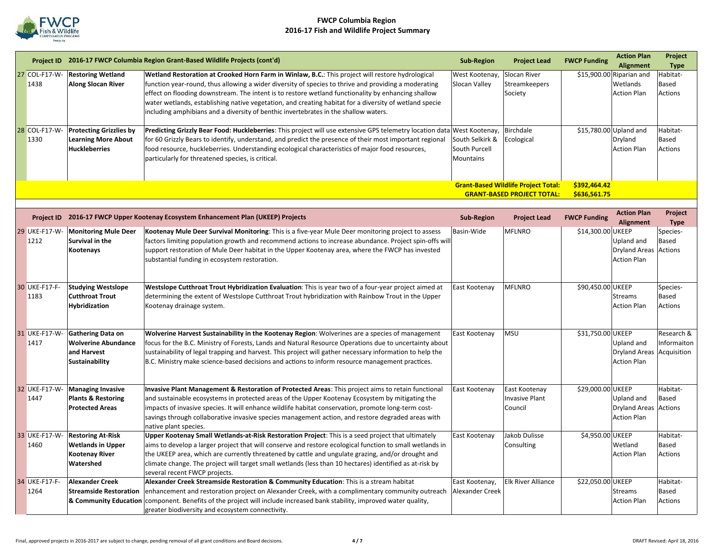

|    |                       |                                                                                            | Project ID 2016-17 FWCP Columbia Region Grant-Based Wildlife Projects (cont'd)                                                                                                                                                                                                                                                                                                                                                                                                                                   | <b>Sub-Region</b>                                    | <b>Project Lead</b>                                                             | <b>FWCP Funding</b>          | <b>Action Plan</b><br><b>Alignment</b>                     | Project<br><b>Type</b>                   |
|----|-----------------------|--------------------------------------------------------------------------------------------|------------------------------------------------------------------------------------------------------------------------------------------------------------------------------------------------------------------------------------------------------------------------------------------------------------------------------------------------------------------------------------------------------------------------------------------------------------------------------------------------------------------|------------------------------------------------------|---------------------------------------------------------------------------------|------------------------------|------------------------------------------------------------|------------------------------------------|
| 27 | COL-F17-W-<br>1438    | <b>Restoring Wetland</b><br><b>Along Slocan River</b>                                      | Wetland Restoration at Crooked Horn Farm in Winlaw, B.C.: This project will restore hydrological<br>function year-round, thus allowing a wider diversity of species to thrive and providing a moderating<br>effect on flooding downstream. The intent is to restore wetland functionality by enhancing shallow<br>water wetlands, establishing native vegetation, and creating habitat for a diversity of wetland specie<br>including amphibians and a diversity of benthic invertebrates in the shallow waters. | West Kootenay,<br>Slocan Valley                      | Slocan River<br><b>Streamkeepers</b><br>Society                                 |                              | \$15,900.00 Riparian and<br>Wetlands<br><b>Action Plan</b> | Habitat-<br>Based<br>Actions             |
|    | 28 COL-F17-W-<br>1330 | <b>Protecting Grizzlies by</b><br><b>Learning More About</b><br><b>Huckleberries</b>       | Predicting Grizzly Bear Food: Huckleberries: This project will use extensive GPS telemetry location data West Kootenay,<br>for 60 Grizzly Bears to identify, understand, and predict the presence of their most important regional<br>food resource, huckleberries. Understanding ecological characteristics of major food resources,<br>particularly for threatened species, is critical.                                                                                                                       | South Selkirk &<br>South Purcell<br><b>Mountains</b> | Birchdale<br>Ecological                                                         |                              | \$15,780.00 Upland and<br>Dryland<br><b>Action Plan</b>    | Habitat-<br>Based<br>Actions             |
|    |                       |                                                                                            |                                                                                                                                                                                                                                                                                                                                                                                                                                                                                                                  |                                                      | <b>Grant-Based Wildlife Project Total:</b><br><b>GRANT-BASED PROJECT TOTAL:</b> | \$392,464.42<br>\$636,561.75 |                                                            |                                          |
|    |                       |                                                                                            | Project ID 2016-17 FWCP Upper Kootenay Ecosystem Enhancement Plan (UKEEP) Projects                                                                                                                                                                                                                                                                                                                                                                                                                               | <b>Sub-Region</b>                                    | <b>Project Lead</b>                                                             | <b>FWCP Funding</b>          | <b>Action Plan</b><br><b>Alignment</b>                     | Project<br><b>Type</b>                   |
|    | 29 UKE-F17-W-<br>1212 | <b>Monitoring Mule Deer</b><br>Survival in the<br>Kootenays                                | Kootenay Mule Deer Survival Monitoring: This is a five-year Mule Deer monitoring project to assess<br>factors limiting population growth and recommend actions to increase abundance. Project spin-offs will<br>support restoration of Mule Deer habitat in the Upper Kootenay area, where the FWCP has invested<br>substantial funding in ecosystem restoration.                                                                                                                                                | Basin-Wide                                           | <b>MFLNRO</b>                                                                   | \$14,300.00 UKEEP            | Upland and<br><b>Dryland Areas</b><br><b>Action Plan</b>   | Species-<br>Based<br>Actions             |
|    | 30 UKE-F17-F-<br>1183 | <b>Studying Westslope</b><br><b>Cutthroat Trout</b><br><b>Hybridization</b>                | Westslope Cutthroat Trout Hybridization Evaluation: This is year two of a four-year project aimed at<br>determining the extent of Westslope Cutthroat Trout hybridization with Rainbow Trout in the Upper<br>Kootenay drainage system.                                                                                                                                                                                                                                                                           | East Kootenay                                        | <b>MFLNRO</b>                                                                   | \$90,450.00 UKEEP            | <b>Streams</b><br><b>Action Plan</b>                       | Species-<br>Based<br>Actions             |
|    | 31 UKE-F17-W<br>1417  | Gathering Data on<br><b>Wolverine Abundance</b><br>and Harvest<br>Sustainability           | Wolverine Harvest Sustainability in the Kootenay Region: Wolverines are a species of management<br>focus for the B.C. Ministry of Forests, Lands and Natural Resource Operations due to uncertainty about<br>sustainability of legal trapping and harvest. This project will gather necessary information to help the<br>B.C. Ministry make science-based decisions and actions to inform resource management practices.                                                                                         | East Kootenay                                        | <b>MSU</b>                                                                      | \$31,750.00 UKEEP            | Upland and<br><b>Dryland Areas</b><br><b>Action Plan</b>   | Research &<br>Informaiton<br>Acquisition |
|    | 32 UKE-F17-W-<br>1447 | <b>Managing Invasive</b><br><b>Plants &amp; Restoring</b><br><b>Protected Areas</b>        | Invasive Plant Management & Restoration of Protected Areas: This project aims to retain functional<br>and sustainable ecosystems in protected areas of the Upper Kootenay Ecosystem by mitigating the<br>impacts of invasive species. It will enhance wildlife habitat conservation, promote long-term cost-<br>savings through collaborative invasive species management action, and restore degraded areas with<br>native plant species.                                                                       | East Kootenay                                        | East Kootenay<br><b>Invasive Plant</b><br>Council                               | \$29,000.00 UKEEP            | Upland and<br><b>Dryland Areas</b><br><b>Action Plan</b>   | Habitat-<br>Based<br>Actions             |
|    | 33 UKE-F17-W<br>1460  | <b>Restoring At-Risk</b><br><b>Wetlands in Upper</b><br><b>Kootenay River</b><br>Watershed | Upper Kootenay Small Wetlands-at-Risk Restoration Project: This is a seed project that ultimately<br>aims to develop a larger project that will conserve and restore ecological function to small wetlands in<br>the UKEEP area, which are currently threatened by cattle and ungulate grazing, and/or drought and<br>climate change. The project will target small wetlands (less than 10 hectares) identified as at-risk by<br>several recent FWCP projects.                                                   | East Kootenay                                        | Jakob Dulisse<br>Consulting                                                     | \$4,950.00 UKEEP             | Wetland<br><b>Action Plan</b>                              | Habitat-<br>Based<br>Actions             |
|    | 34 UKE-F17-F-<br>1264 | <b>Alexander Creek</b><br><b>Streamside Restoration</b>                                    | Alexander Creek Streamside Restoration & Community Education: This is a stream habitat<br>enhancement and restoration project on Alexander Creek, with a complimentary community outreach<br>& Community Education component. Benefits of the project will include increased bank stability, improved water quality,<br>greater biodiversity and ecosystem connectivity.                                                                                                                                         | East Kootenay,<br>Alexander Creek                    | Elk River Alliance                                                              | \$22,050.00 UKEEP            | <b>Streams</b><br><b>Action Plan</b>                       | Habitat-<br>Based<br>Actions             |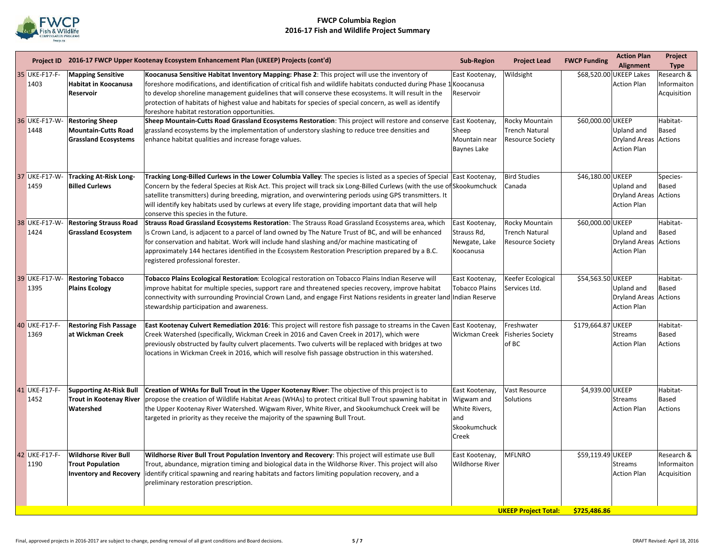

|    |                           |                                                                                         | Project ID 2016-17 FWCP Upper Kootenay Ecosystem Enhancement Plan (UKEEP) Projects (cont'd)                                                                                                                                                                                                                                                                                                                                                                                                                         | <b>Sub-Region</b>                                                              | <b>Project Lead</b>                                                | <b>FWCP Funding</b> | <b>Action Plan</b><br><b>Alignment</b>                    | Project<br><b>Type</b>                   |
|----|---------------------------|-----------------------------------------------------------------------------------------|---------------------------------------------------------------------------------------------------------------------------------------------------------------------------------------------------------------------------------------------------------------------------------------------------------------------------------------------------------------------------------------------------------------------------------------------------------------------------------------------------------------------|--------------------------------------------------------------------------------|--------------------------------------------------------------------|---------------------|-----------------------------------------------------------|------------------------------------------|
|    | 35 UKE-F17-F-<br>1403     | <b>Mapping Sensitive</b><br><b>Habitat in Koocanusa</b><br><b>Reservoir</b>             | Koocanusa Sensitive Habitat Inventory Mapping: Phase 2: This project will use the inventory of<br>foreshore modifications, and identification of critical fish and wildlife habitats conducted during Phase 1 Koocanusa<br>to develop shoreline management guidelines that will conserve these ecosystems. It will result in the<br>protection of habitats of highest value and habitats for species of special concern, as well as identify<br>foreshore habitat restoration opportunities.                        | East Kootenay,<br>Reservoir                                                    | Wildsight                                                          |                     | \$68,520.00 UKEEP Lakes<br><b>Action Plan</b>             | Research &<br>Informaiton<br>Acquisition |
|    | 36 UKE-F17-W-<br>1448     | <b>Restoring Sheep</b><br><b>Mountain-Cutts Road</b><br><b>Grassland Ecosystems</b>     | Sheep Mountain-Cutts Road Grassland Ecosystems Restoration: This project will restore and conserve East Kootenay,<br>grassland ecosystems by the implementation of understory slashing to reduce tree densities and<br>enhance habitat qualities and increase forage values.                                                                                                                                                                                                                                        | Sheep<br>Mountain near<br><b>Baynes Lake</b>                                   | Rocky Mountain<br><b>Trench Natural</b><br><b>Resource Society</b> | \$60,000.00 UKEEP   | Upland and<br><b>Dryland Areas</b><br><b>Action Plan</b>  | Habitat-<br>Based<br><b>Actions</b>      |
|    | 37 UKE-F17-W-<br>1459     | <b>Tracking At-Risk Long-</b><br><b>Billed Curlews</b>                                  | Tracking Long-Billed Curlews in the Lower Columbia Valley: The species is listed as a species of Special East Kootenay,<br>Concern by the federal Species at Risk Act. This project will track six Long-Billed Curlews (with the use of Skookumchuck<br>satellite transmitters) during breeding, migration, and overwintering periods using GPS transmitters. It<br>will identify key habitats used by curlews at every life stage, providing important data that will help<br>conserve this species in the future. |                                                                                | <b>Bird Studies</b><br>Canada                                      | \$46,180.00 UKEEP   | Upland and<br><b>Dryland Areas</b><br><b>Action Plan</b>  | Species-<br>Based<br><b>Actions</b>      |
|    | 38 UKE-F17-W-<br>1424     | <b>Restoring Strauss Road</b><br><b>Grassland Ecosystem</b>                             | Strauss Road Grassland Ecosystems Restoration: The Strauss Road Grassland Ecosystems area, which<br>is Crown Land, is adjacent to a parcel of land owned by The Nature Trust of BC, and will be enhanced<br>for conservation and habitat. Work will include hand slashing and/or machine masticating of<br>approximately 144 hectares identified in the Ecosystem Restoration Prescription prepared by a B.C.<br>registered professional forester.                                                                  | East Kootenay,<br>Strauss Rd,<br>Newgate, Lake<br>Koocanusa                    | Rocky Mountain<br><b>Trench Natural</b><br><b>Resource Society</b> | \$60,000.00 UKEEP   | Upland and<br><b>Dryland Areas</b><br><b>Action Plan</b>  | Habitat-<br>Based<br>Actions             |
|    | 39 UKE-F17-W-<br>1395     | <b>Restoring Tobacco</b><br><b>Plains Ecology</b>                                       | Tobacco Plains Ecological Restoration: Ecological restoration on Tobacco Plains Indian Reserve will<br>improve habitat for multiple species, support rare and threatened species recovery, improve habitat<br>connectivity with surrounding Provincial Crown Land, and engage First Nations residents in greater land Indian Reserve<br>stewardship participation and awareness.                                                                                                                                    | East Kootenay,<br><b>Tobacco Plains</b>                                        | Keefer Ecological<br>Services Ltd.                                 | \$54,563.50 UKEEP   | Upland and<br>Dryland Areas Actions<br><b>Action Plan</b> | Habitat-<br>Based                        |
| 40 | <b>UKE-F17-F-</b><br>1369 | <b>Restoring Fish Passage</b><br>at Wickman Creek                                       | East Kootenay Culvert Remediation 2016: This project will restore fish passage to streams in the Caven East Kootenay,<br>Creek Watershed (specifically, Wickman Creek in 2016 and Caven Creek in 2017), which were<br>previously obstructed by faulty culvert placements. Two culverts will be replaced with bridges at two<br>locations in Wickman Creek in 2016, which will resolve fish passage obstruction in this watershed.                                                                                   | Wickman Creek                                                                  | Freshwater<br><b>Fisheries Society</b><br>of BC                    | \$179,664.87 UKEEP  | <b>Streams</b><br><b>Action Plan</b>                      | Habitat-<br>Based<br>Actions             |
|    | 41 UKE-F17-F-<br>1452     | <b>Supporting At-Risk Bull</b><br><b>Trout in Kootenay River</b><br>Watershed           | Creation of WHAs for Bull Trout in the Upper Kootenay River: The objective of this project is to<br>propose the creation of Wildlife Habitat Areas (WHAs) to protect critical Bull Trout spawning habitat in<br>the Upper Kootenay River Watershed. Wigwam River, White River, and Skookumchuck Creek will be<br>targeted in priority as they receive the majority of the spawning Bull Trout.                                                                                                                      | East Kootenay,<br>Wigwam and<br>White Rivers,<br>land<br>Skookumchuck<br>Creek | Vast Resource<br>Solutions                                         | \$4,939.00 UKEEP    | <b>Streams</b><br><b>Action Plan</b>                      | Habitat-<br>Based<br><b>Actions</b>      |
|    | 42 UKE-F17-F-<br>1190     | <b>Wildhorse River Bull</b><br><b>Trout Population</b><br><b>Inventory and Recovery</b> | Wildhorse River Bull Trout Population Inventory and Recovery: This project will estimate use Bull<br>Trout, abundance, migration timing and biological data in the Wildhorse River. This project will also<br>identify critical spawning and rearing habitats and factors limiting population recovery, and a<br>preliminary restoration prescription.                                                                                                                                                              | East Kootenay,<br><b>Wildhorse River</b>                                       | <b>MFLNRO</b>                                                      | \$59,119.49 UKEEP   | <b>Streams</b><br><b>Action Plan</b>                      | Research &<br>Informaiton<br>Acquisition |
|    |                           |                                                                                         |                                                                                                                                                                                                                                                                                                                                                                                                                                                                                                                     |                                                                                | <b>UKEEP Project Total:</b>                                        | \$725,486.86        |                                                           |                                          |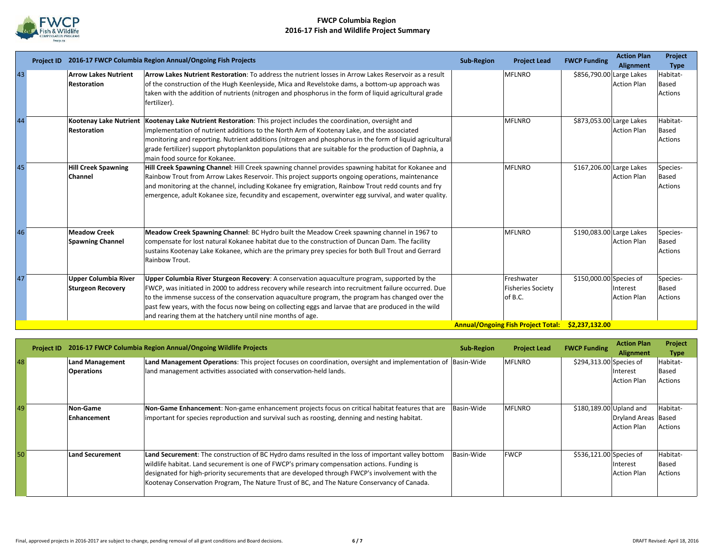

|    | <b>Project ID</b> |                                                   | 2016-17 FWCP Columbia Region Annual/Ongoing Fish Projects                                                                                                                                                                                           | <b>Sub-Region</b> | <b>Project Lead</b>                               | <b>FWCP Funding</b>      | <b>Action Plan</b><br>Alignment | Project<br><b>Type</b> |
|----|-------------------|---------------------------------------------------|-----------------------------------------------------------------------------------------------------------------------------------------------------------------------------------------------------------------------------------------------------|-------------------|---------------------------------------------------|--------------------------|---------------------------------|------------------------|
| 43 |                   | <b>Arrow Lakes Nutrient</b><br><b>Restoration</b> | Arrow Lakes Nutrient Restoration: To address the nutrient losses in Arrow Lakes Reservoir as a result<br>of the construction of the Hugh Keenleyside, Mica and Revelstoke dams, a bottom-up approach was                                            |                   | <b>MFLNRO</b>                                     | \$856,790.00 Large Lakes | <b>Action Plan</b>              | Habitat-<br>Based      |
|    |                   |                                                   | taken with the addition of nutrients (nitrogen and phosphorus in the form of liquid agricultural grade<br>fertilizer).                                                                                                                              |                   |                                                   |                          |                                 | <b>Actions</b>         |
| 44 |                   |                                                   | Kootenay Lake Nutrient Kootenay Lake Nutrient Restoration: This project includes the coordination, oversight and                                                                                                                                    |                   | <b>MFLNRO</b>                                     | \$873,053.00 Large Lakes |                                 | Habitat-               |
|    |                   | <b>Restoration</b>                                | implementation of nutrient additions to the North Arm of Kootenay Lake, and the associated                                                                                                                                                          |                   |                                                   |                          | <b>Action Plan</b>              | Based                  |
|    |                   |                                                   | monitoring and reporting. Nutrient additions (nitrogen and phosphorus in the form of liquid agricultural<br>grade fertilizer) support phytoplankton populations that are suitable for the production of Daphnia, a<br>main food source for Kokanee. |                   |                                                   |                          |                                 | <b>Actions</b>         |
| 45 |                   | <b>Hill Creek Spawning</b>                        | Hill Creek Spawning Channel: Hill Creek spawning channel provides spawning habitat for Kokanee and                                                                                                                                                  |                   | <b>MFLNRO</b>                                     | \$167,206.00 Large Lakes |                                 | Species-               |
|    |                   | Channel                                           | Rainbow Trout from Arrow Lakes Reservoir. This project supports ongoing operations, maintenance                                                                                                                                                     |                   |                                                   |                          | <b>Action Plan</b>              | <b>Based</b>           |
|    |                   |                                                   | and monitoring at the channel, including Kokanee fry emigration, Rainbow Trout redd counts and fry<br>emergence, adult Kokanee size, fecundity and escapement, overwinter egg survival, and water quality.                                          |                   |                                                   |                          |                                 | <b>Actions</b>         |
| 46 |                   | <b>Meadow Creek</b>                               | Meadow Creek Spawning Channel: BC Hydro built the Meadow Creek spawning channel in 1967 to                                                                                                                                                          |                   | <b>MFLNRO</b>                                     | \$190,083.00 Large Lakes |                                 | Species-               |
|    |                   | <b>Spawning Channel</b>                           | compensate for lost natural Kokanee habitat due to the construction of Duncan Dam. The facility                                                                                                                                                     |                   |                                                   |                          | <b>Action Plan</b>              | Based                  |
|    |                   |                                                   | sustains Kootenay Lake Kokanee, which are the primary prey species for both Bull Trout and Gerrard<br>Rainbow Trout.                                                                                                                                |                   |                                                   |                          |                                 | <b>Actions</b>         |
| 47 |                   | <b>Upper Columbia River</b>                       | Upper Columbia River Sturgeon Recovery: A conservation aquaculture program, supported by the                                                                                                                                                        |                   | Freshwater                                        | \$150,000.00 Species of  |                                 | Species-               |
|    |                   | <b>Sturgeon Recovery</b>                          | FWCP, was initiated in 2000 to address recovery while research into recruitment failure occurred. Due                                                                                                                                               |                   | <b>Fisheries Society</b>                          |                          | Interest                        | <b>Based</b>           |
|    |                   |                                                   | to the immense success of the conservation aquaculture program, the program has changed over the                                                                                                                                                    |                   | of B.C.                                           |                          | <b>Action Plan</b>              | <b>Actions</b>         |
|    |                   |                                                   | past few years, with the focus now being on collecting eggs and larvae that are produced in the wild<br>and rearing them at the hatchery until nine months of age.                                                                                  |                   |                                                   |                          |                                 |                        |
|    |                   |                                                   |                                                                                                                                                                                                                                                     |                   | Annual/Ongoing Fish Project Total: \$2,237,132.00 |                          |                                 |                        |

|    |                                             | Project ID 2016-17 FWCP Columbia Region Annual/Ongoing Wildlife Projects                                                                                                                                                                                                                                                                                                                             | <b>Sub-Region</b> | <b>Project Lead</b> | <b>FWCP Funding</b>     | <b>Action Plan</b><br>Alignment           | Project<br><b>Type</b>       |
|----|---------------------------------------------|------------------------------------------------------------------------------------------------------------------------------------------------------------------------------------------------------------------------------------------------------------------------------------------------------------------------------------------------------------------------------------------------------|-------------------|---------------------|-------------------------|-------------------------------------------|------------------------------|
| 48 | <b>Land Management</b><br><b>Operations</b> | Land Management Operations: This project focuses on coordination, oversight and implementation of Basin-Wide<br>land management activities associated with conservation-held lands.                                                                                                                                                                                                                  |                   | <b>MFLNRO</b>       | \$294,313.00 Species of | Interest<br><b>Action Plan</b>            | Habitat-<br>Based<br>Actions |
| 49 | Non-Game<br>Enhancement                     | Non-Game Enhancement: Non-game enhancement projects focus on critical habitat features that are<br>important for species reproduction and survival such as roosting, denning and nesting habitat.                                                                                                                                                                                                    | Basin-Wide        | <b>MFLNRO</b>       | \$180,189.00 Upland and | Dryland Areas Based<br><b>Action Plan</b> | Habitat-<br>Actions          |
| 50 | Land Securement                             | Land Securement: The construction of BC Hydro dams resulted in the loss of important valley bottom<br>wildlife habitat. Land securement is one of FWCP's primary compensation actions. Funding is<br>designated for high-priority securements that are developed through FWCP's involvement with the<br>Kootenay Conservation Program, The Nature Trust of BC, and The Nature Conservancy of Canada. | Basin-Wide        | <b>FWCP</b>         | \$536,121.00 Species of | Interest<br><b>Action Plan</b>            | Habitat-<br>Based<br>Actions |